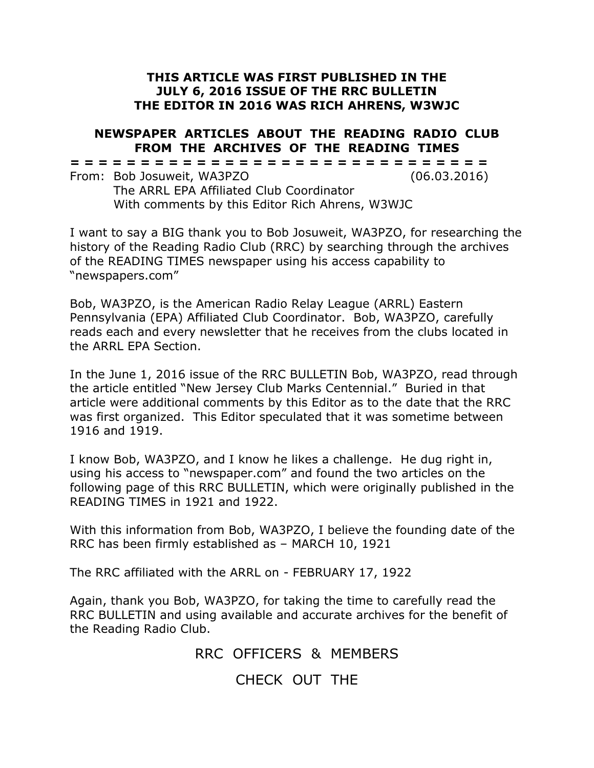## **THIS ARTICLE WAS FIRST PUBLISHED IN THE JULY 6, 2016 ISSUE OF THE RRC BULLETIN THE EDITOR IN 2016 WAS RICH AHRENS, W3WJC**

## **NEWSPAPER ARTICLES ABOUT THE READING RADIO CLUB FROM THE ARCHIVES OF THE READING TIMES**

**= = = = = = = = = = = = = = = = = = = = = = = = = = = = = =**

From: Bob Josuweit, WA3PZO (06.03.2016) The ARRL EPA Affiliated Club Coordinator With comments by this Editor Rich Ahrens, W3WJC

I want to say a BIG thank you to Bob Josuweit, WA3PZO, for researching the history of the Reading Radio Club (RRC) by searching through the archives of the READING TIMES newspaper using his access capability to "newspapers.com"

Bob, WA3PZO, is the American Radio Relay League (ARRL) Eastern Pennsylvania (EPA) Affiliated Club Coordinator. Bob, WA3PZO, carefully reads each and every newsletter that he receives from the clubs located in the ARRL EPA Section.

In the June 1, 2016 issue of the RRC BULLETIN Bob, WA3PZO, read through the article entitled "New Jersey Club Marks Centennial." Buried in that article were additional comments by this Editor as to the date that the RRC was first organized. This Editor speculated that it was sometime between 1916 and 1919.

I know Bob, WA3PZO, and I know he likes a challenge. He dug right in, using his access to "newspaper.com" and found the two articles on the following page of this RRC BULLETIN, which were originally published in the READING TIMES in 1921 and 1922.

With this information from Bob, WA3PZO, I believe the founding date of the RRC has been firmly established as – MARCH 10, 1921

The RRC affiliated with the ARRL on - FEBRUARY 17, 1922

Again, thank you Bob, WA3PZO, for taking the time to carefully read the RRC BULLETIN and using available and accurate archives for the benefit of the Reading Radio Club.

> RRC OFFICERS & MEMBERS CHECK OUT THE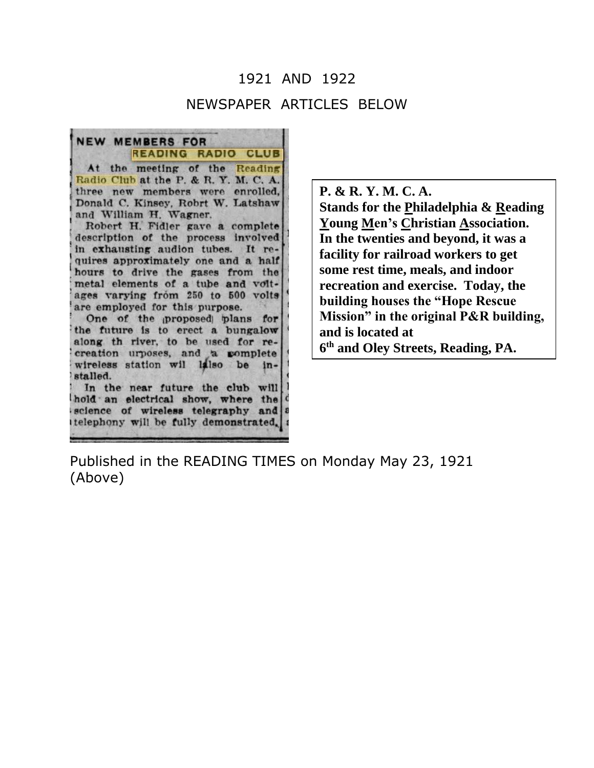## 1921 AND 1922 NEWSPAPER ARTICLES BELOW

NEW MEMBERS FOR **READING RADIO** At the meeting of the Reading Radio Club at the P. & R. Y. M. C. A. three new members were enrolled, Donald C. Kinsey, Robrt W. Latshaw and William H. Wagner. Robert H. Fidler gave a complete description of the process involved in exhausting audion tubes. It requires approximately one and a half hours to drive the gases from the metal elements of a tube and voltages varying from 250 to 500 volts are employed for this purpose. One of the proposed plans for the future is to erect a bungalow along th river, to be used for recreation urposes, and a complete wireless station wil lalso be  $in$ stalled. In the near future the club will hold an electrical show, where the science of wireless telegraphy and

telephony will be fully demonstrated.

**P. & R. Y. M. C. A. Stands for the Philadelphia & Reading Young Men's Christian Association. In the twenties and beyond, it was a facility for railroad workers to get some rest time, meals, and indoor recreation and exercise. Today, the building houses the "Hope Rescue Mission" in the original P&R building, and is located at 6 th and Oley Streets, Reading, PA.**

Published in the READING TIMES on Monday May 23, 1921 (Above)